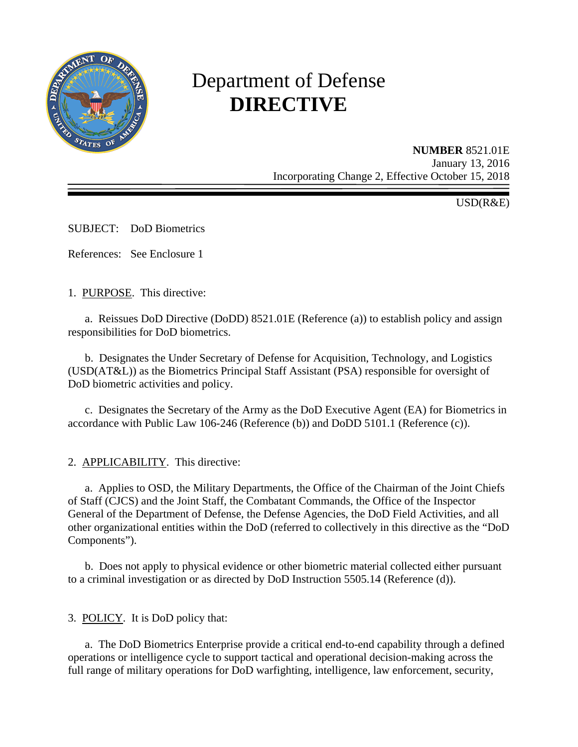

# Department of Defense **DIRECTIVE**

**NUMBER** 8521.01E January 13, 2016 Incorporating Change 2, Effective October 15, 2018

USD(R&E)

SUBJECT: DoD Biometrics

References: See Enclosure 1

1. PURPOSE. This directive:

a. Reissues DoD Directive (DoDD) 8521.01E (Reference (a)) to establish policy and assign responsibilities for DoD biometrics.

 b. Designates the Under Secretary of Defense for Acquisition, Technology, and Logistics (USD(AT&L)) as the Biometrics Principal Staff Assistant (PSA) responsible for oversight of DoD biometric activities and policy.

c. Designates the Secretary of the Army as the DoD Executive Agent (EA) for Biometrics in accordance with Public Law 106-246 (Reference (b)) and DoDD 5101.1 (Reference (c)).

2. APPLICABILITY. This directive:

a. Applies to OSD, the Military Departments, the Office of the Chairman of the Joint Chiefs of Staff (CJCS) and the Joint Staff, the Combatant Commands, the Office of the Inspector General of the Department of Defense, the Defense Agencies, the DoD Field Activities, and all other organizational entities within the DoD (referred to collectively in this directive as the "DoD Components").

b. Does not apply to physical evidence or other biometric material collected either pursuant to a criminal investigation or as directed by DoD Instruction 5505.14 (Reference (d)).

3. POLICY. It is DoD policy that:

a. The DoD Biometrics Enterprise provide a critical end-to-end capability through a defined operations or intelligence cycle to support tactical and operational decision-making across the full range of military operations for DoD warfighting, intelligence, law enforcement, security,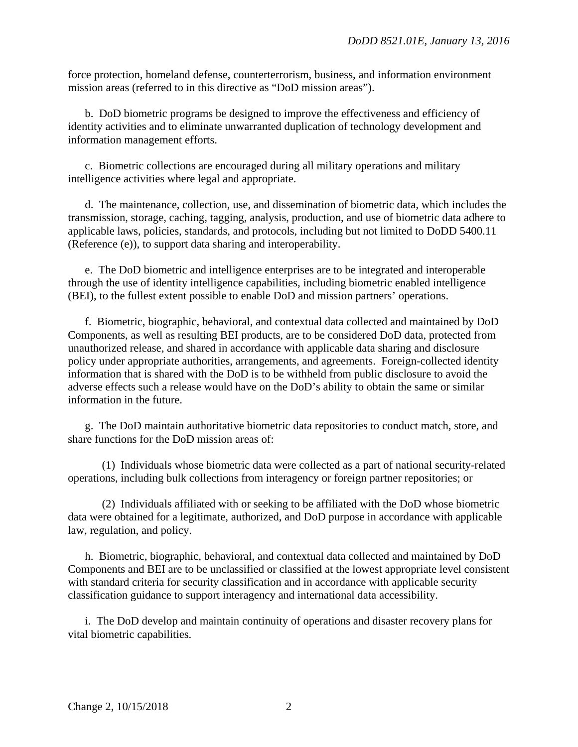force protection, homeland defense, counterterrorism, business, and information environment mission areas (referred to in this directive as "DoD mission areas").

 b. DoD biometric programs be designed to improve the effectiveness and efficiency of identity activities and to eliminate unwarranted duplication of technology development and information management efforts.

 c. Biometric collections are encouraged during all military operations and military intelligence activities where legal and appropriate.

 d. The maintenance, collection, use, and dissemination of biometric data, which includes the transmission, storage, caching, tagging, analysis, production, and use of biometric data adhere to applicable laws, policies, standards, and protocols, including but not limited to DoDD 5400.11 (Reference (e)), to support data sharing and interoperability.

 e. The DoD biometric and intelligence enterprises are to be integrated and interoperable through the use of identity intelligence capabilities, including biometric enabled intelligence (BEI), to the fullest extent possible to enable DoD and mission partners' operations.

 f. Biometric, biographic, behavioral, and contextual data collected and maintained by DoD Components, as well as resulting BEI products, are to be considered DoD data, protected from unauthorized release, and shared in accordance with applicable data sharing and disclosure policy under appropriate authorities, arrangements, and agreements. Foreign-collected identity information that is shared with the DoD is to be withheld from public disclosure to avoid the adverse effects such a release would have on the DoD's ability to obtain the same or similar information in the future.

 g. The DoD maintain authoritative biometric data repositories to conduct match, store, and share functions for the DoD mission areas of:

(1) Individuals whose biometric data were collected as a part of national security-related operations, including bulk collections from interagency or foreign partner repositories; or

(2) Individuals affiliated with or seeking to be affiliated with the DoD whose biometric data were obtained for a legitimate, authorized, and DoD purpose in accordance with applicable law, regulation, and policy.

h. Biometric, biographic, behavioral, and contextual data collected and maintained by DoD Components and BEI are to be unclassified or classified at the lowest appropriate level consistent with standard criteria for security classification and in accordance with applicable security classification guidance to support interagency and international data accessibility.

 i. The DoD develop and maintain continuity of operations and disaster recovery plans for vital biometric capabilities.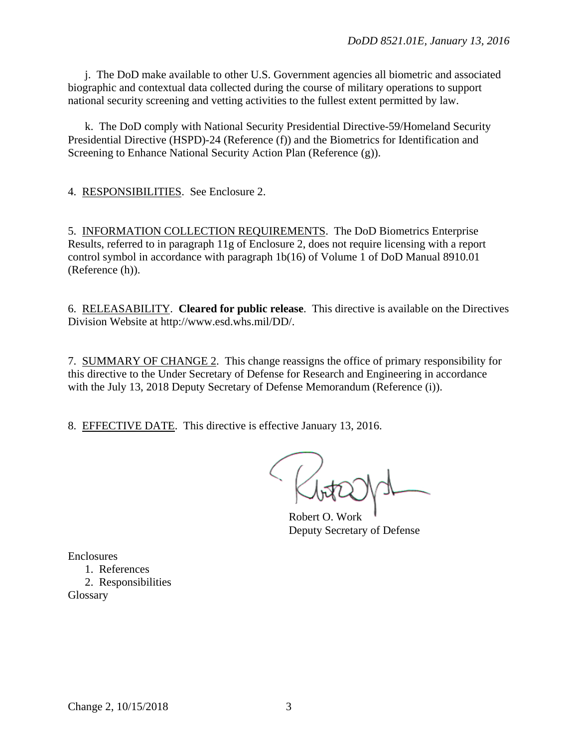j. The DoD make available to other U.S. Government agencies all biometric and associated biographic and contextual data collected during the course of military operations to support national security screening and vetting activities to the fullest extent permitted by law.

 k. The DoD comply with National Security Presidential Directive-59/Homeland Security Presidential Directive (HSPD)-24 (Reference (f)) and the Biometrics for Identification and Screening to Enhance National Security Action Plan (Reference (g)).

4. RESPONSIBILITIES. See Enclosure 2.

5. INFORMATION COLLECTION REQUIREMENTS. The DoD Biometrics Enterprise Results, referred to in paragraph 11g of Enclosure 2, does not require licensing with a report control symbol in accordance with paragraph 1b(16) of Volume 1 of DoD Manual 8910.01 (Reference (h)).

6. RELEASABILITY. **Cleared for public release**. This directive is available on the Directives Division Website at http://www.esd.whs.mil/DD/.

7. SUMMARY OF CHANGE 2. This change reassigns the office of primary responsibility for this directive to the Under Secretary of Defense for Research and Engineering in accordance with the July 13, 2018 Deputy Secretary of Defense Memorandum (Reference (i)).

8. EFFECTIVE DATE. This directive is effective January 13, 2016.

Robert O. Work Deputy Secretary of Defense

Enclosures

1. References 2. Responsibilities

Glossary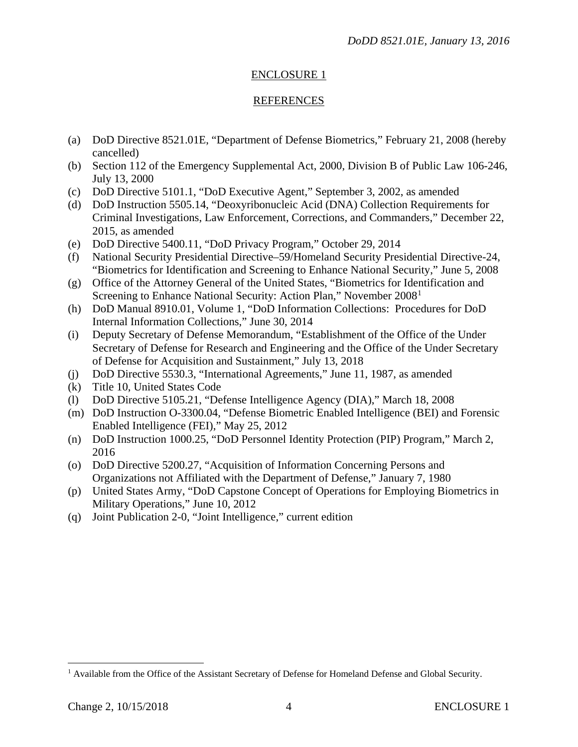## ENCLOSURE 1

## REFERENCES

- (a) DoD Directive 8521.01E, "Department of Defense Biometrics," February 21, 2008 (hereby cancelled)
- (b) Section 112 of the Emergency Supplemental Act, 2000, Division B of Public Law 106-246, July 13, 2000
- (c) DoD Directive 5101.1, "DoD Executive Agent," September 3, 2002, as amended
- (d) DoD Instruction 5505.14, "Deoxyribonucleic Acid (DNA) Collection Requirements for Criminal Investigations, Law Enforcement, Corrections, and Commanders," December 22, 2015, as amended
- (e) DoD Directive 5400.11, "DoD Privacy Program," October 29, 2014
- (f) National Security Presidential Directive–59/Homeland Security Presidential Directive-24, "Biometrics for Identification and Screening to Enhance National Security," June 5, 2008
- (g) Office of the Attorney General of the United States, "Biometrics for Identification and Screening to Enhance National Security: Action Plan," November 2008<sup>[1](#page-3-0)</sup>
- (h) DoD Manual 8910.01, Volume 1, "DoD Information Collections: Procedures for DoD Internal Information Collections," June 30, 2014
- (i) Deputy Secretary of Defense Memorandum, "Establishment of the Office of the Under Secretary of Defense for Research and Engineering and the Office of the Under Secretary of Defense for Acquisition and Sustainment," July 13, 2018
- (j) DoD Directive 5530.3, "International Agreements," June 11, 1987, as amended
- (k) Title 10, United States Code
- (l) DoD Directive 5105.21, "Defense Intelligence Agency (DIA)," March 18, 2008
- (m) DoD Instruction O-3300.04, "Defense Biometric Enabled Intelligence (BEI) and Forensic Enabled Intelligence (FEI)," May 25, 2012
- (n) DoD Instruction 1000.25, "DoD Personnel Identity Protection (PIP) Program," March 2, 2016
- (o) DoD Directive 5200.27, "Acquisition of Information Concerning Persons and Organizations not Affiliated with the Department of Defense," January 7, 1980
- (p) United States Army, "DoD Capstone Concept of Operations for Employing Biometrics in Military Operations," June 10, 2012
- (q) Joint Publication 2-0, "Joint Intelligence," current edition

 $\overline{a}$ 

<span id="page-3-0"></span><sup>&</sup>lt;sup>1</sup> Available from the Office of the Assistant Secretary of Defense for Homeland Defense and Global Security.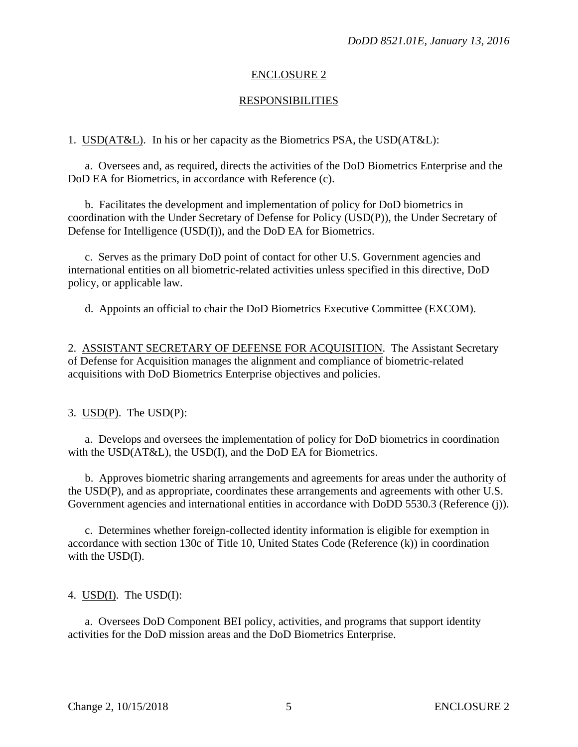#### ENCLOSURE 2

#### RESPONSIBILITIES

1. USD(AT&L). In his or her capacity as the Biometrics PSA, the USD(AT&L):

a. Oversees and, as required, directs the activities of the DoD Biometrics Enterprise and the DoD EA for Biometrics, in accordance with Reference (c).

 b. Facilitates the development and implementation of policy for DoD biometrics in coordination with the Under Secretary of Defense for Policy (USD(P)), the Under Secretary of Defense for Intelligence (USD(I)), and the DoD EA for Biometrics.

 c. Serves as the primary DoD point of contact for other U.S. Government agencies and international entities on all biometric-related activities unless specified in this directive, DoD policy, or applicable law.

d. Appoints an official to chair the DoD Biometrics Executive Committee (EXCOM).

2. ASSISTANT SECRETARY OF DEFENSE FOR ACQUISITION. The Assistant Secretary of Defense for Acquisition manages the alignment and compliance of biometric-related acquisitions with DoD Biometrics Enterprise objectives and policies.

3. USD(P). The USD(P):

 a. Develops and oversees the implementation of policy for DoD biometrics in coordination with the USD(AT&L), the USD(I), and the DoD EA for Biometrics.

 b. Approves biometric sharing arrangements and agreements for areas under the authority of the USD(P), and as appropriate, coordinates these arrangements and agreements with other U.S. Government agencies and international entities in accordance with DoDD 5530.3 (Reference (j)).

c. Determines whether foreign-collected identity information is eligible for exemption in accordance with section 130c of Title 10, United States Code (Reference (k)) in coordination with the USD(I).

4.  $USD(I)$ . The  $USD(I)$ :</u>

a. Oversees DoD Component BEI policy, activities, and programs that support identity activities for the DoD mission areas and the DoD Biometrics Enterprise.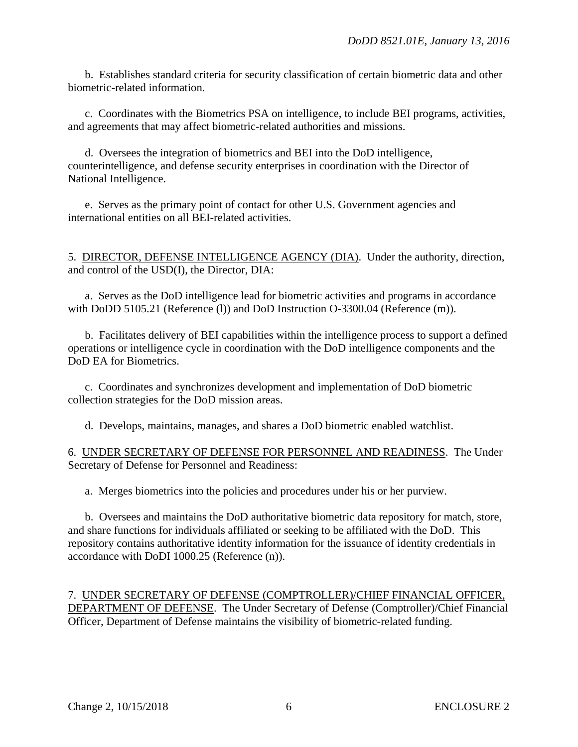b. Establishes standard criteria for security classification of certain biometric data and other biometric-related information.

c. Coordinates with the Biometrics PSA on intelligence, to include BEI programs, activities, and agreements that may affect biometric-related authorities and missions.

 d. Oversees the integration of biometrics and BEI into the DoD intelligence, counterintelligence, and defense security enterprises in coordination with the Director of National Intelligence.

 e. Serves as the primary point of contact for other U.S. Government agencies and international entities on all BEI-related activities.

5. DIRECTOR, DEFENSE INTELLIGENCE AGENCY (DIA). Under the authority, direction, and control of the USD(I), the Director, DIA:

a. Serves as the DoD intelligence lead for biometric activities and programs in accordance with DoDD 5105.21 (Reference (l)) and DoD Instruction O-3300.04 (Reference (m)).

 b. Facilitates delivery of BEI capabilities within the intelligence process to support a defined operations or intelligence cycle in coordination with the DoD intelligence components and the DoD EA for Biometrics.

 c. Coordinates and synchronizes development and implementation of DoD biometric collection strategies for the DoD mission areas.

d. Develops, maintains, manages, and shares a DoD biometric enabled watchlist.

6. UNDER SECRETARY OF DEFENSE FOR PERSONNEL AND READINESS. The Under Secretary of Defense for Personnel and Readiness:

a. Merges biometrics into the policies and procedures under his or her purview.

 b. Oversees and maintains the DoD authoritative biometric data repository for match, store, and share functions for individuals affiliated or seeking to be affiliated with the DoD. This repository contains authoritative identity information for the issuance of identity credentials in accordance with DoDI 1000.25 (Reference (n)).

7. UNDER SECRETARY OF DEFENSE (COMPTROLLER)/CHIEF FINANCIAL OFFICER, DEPARTMENT OF DEFENSE. The Under Secretary of Defense (Comptroller)/Chief Financial Officer, Department of Defense maintains the visibility of biometric-related funding.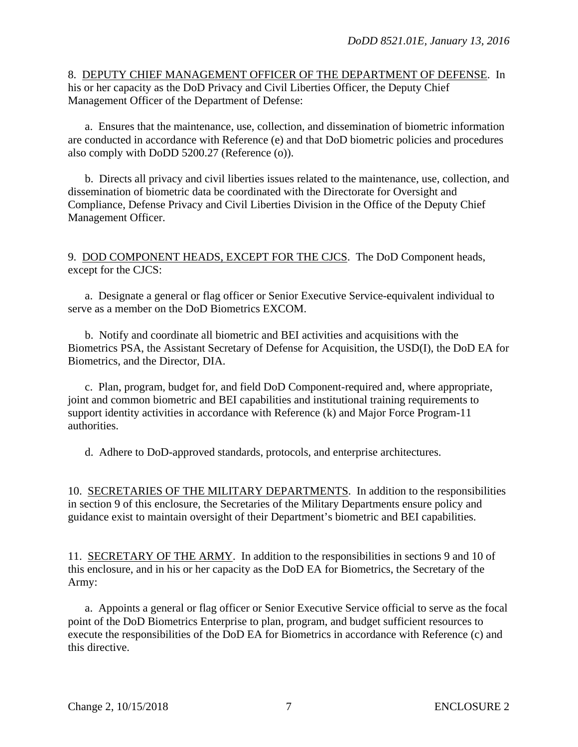8. DEPUTY CHIEF MANAGEMENT OFFICER OF THE DEPARTMENT OF DEFENSE. In his or her capacity as the DoD Privacy and Civil Liberties Officer, the Deputy Chief Management Officer of the Department of Defense:

a. Ensures that the maintenance, use, collection, and dissemination of biometric information are conducted in accordance with Reference (e) and that DoD biometric policies and procedures also comply with DoDD 5200.27 (Reference (o)).

b. Directs all privacy and civil liberties issues related to the maintenance, use, collection, and dissemination of biometric data be coordinated with the Directorate for Oversight and Compliance, Defense Privacy and Civil Liberties Division in the Office of the Deputy Chief Management Officer.

9. DOD COMPONENT HEADS, EXCEPT FOR THE CJCS. The DoD Component heads, except for the CJCS:

a. Designate a general or flag officer or Senior Executive Service-equivalent individual to serve as a member on the DoD Biometrics EXCOM.

b. Notify and coordinate all biometric and BEI activities and acquisitions with the Biometrics PSA, the Assistant Secretary of Defense for Acquisition, the USD(I), the DoD EA for Biometrics, and the Director, DIA.

 c. Plan, program, budget for, and field DoD Component-required and, where appropriate, joint and common biometric and BEI capabilities and institutional training requirements to support identity activities in accordance with Reference (k) and Major Force Program-11 authorities.

d. Adhere to DoD-approved standards, protocols, and enterprise architectures.

10. SECRETARIES OF THE MILITARY DEPARTMENTS. In addition to the responsibilities in section 9 of this enclosure, the Secretaries of the Military Departments ensure policy and guidance exist to maintain oversight of their Department's biometric and BEI capabilities.

11. SECRETARY OF THE ARMY. In addition to the responsibilities in sections 9 and 10 of this enclosure, and in his or her capacity as the DoD EA for Biometrics, the Secretary of the Army:

 a. Appoints a general or flag officer or Senior Executive Service official to serve as the focal point of the DoD Biometrics Enterprise to plan, program, and budget sufficient resources to execute the responsibilities of the DoD EA for Biometrics in accordance with Reference (c) and this directive.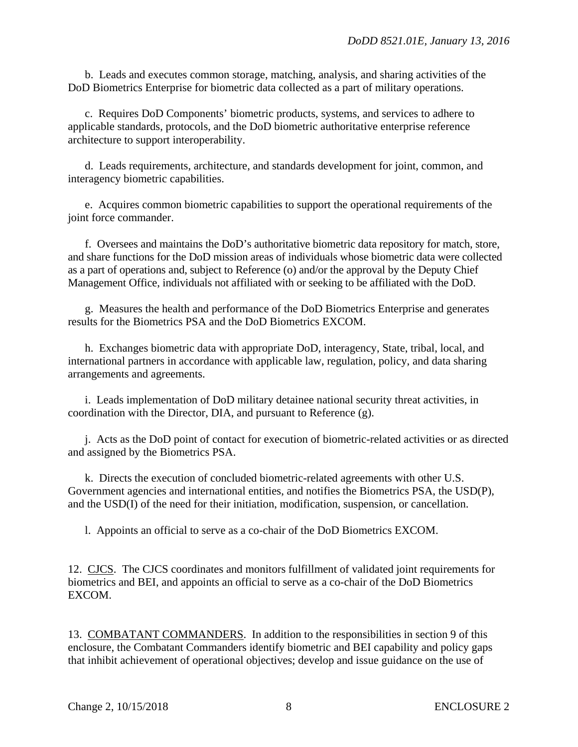b. Leads and executes common storage, matching, analysis, and sharing activities of the DoD Biometrics Enterprise for biometric data collected as a part of military operations.

c. Requires DoD Components' biometric products, systems, and services to adhere to applicable standards, protocols, and the DoD biometric authoritative enterprise reference architecture to support interoperability.

 d. Leads requirements, architecture, and standards development for joint, common, and interagency biometric capabilities.

 e. Acquires common biometric capabilities to support the operational requirements of the joint force commander.

f. Oversees and maintains the DoD's authoritative biometric data repository for match, store, and share functions for the DoD mission areas of individuals whose biometric data were collected as a part of operations and, subject to Reference (o) and/or the approval by the Deputy Chief Management Office, individuals not affiliated with or seeking to be affiliated with the DoD.

 g. Measures the health and performance of the DoD Biometrics Enterprise and generates results for the Biometrics PSA and the DoD Biometrics EXCOM.

 h. Exchanges biometric data with appropriate DoD, interagency, State, tribal, local, and international partners in accordance with applicable law, regulation, policy, and data sharing arrangements and agreements.

 i. Leads implementation of DoD military detainee national security threat activities, in coordination with the Director, DIA, and pursuant to Reference (g).

 j. Acts as the DoD point of contact for execution of biometric-related activities or as directed and assigned by the Biometrics PSA.

 k. Directs the execution of concluded biometric-related agreements with other U.S. Government agencies and international entities, and notifies the Biometrics PSA, the USD(P), and the USD(I) of the need for their initiation, modification, suspension, or cancellation.

l. Appoints an official to serve as a co-chair of the DoD Biometrics EXCOM.

12. CJCS. The CJCS coordinates and monitors fulfillment of validated joint requirements for biometrics and BEI, and appoints an official to serve as a co-chair of the DoD Biometrics EXCOM.

13. COMBATANT COMMANDERS. In addition to the responsibilities in section 9 of this enclosure, the Combatant Commanders identify biometric and BEI capability and policy gaps that inhibit achievement of operational objectives; develop and issue guidance on the use of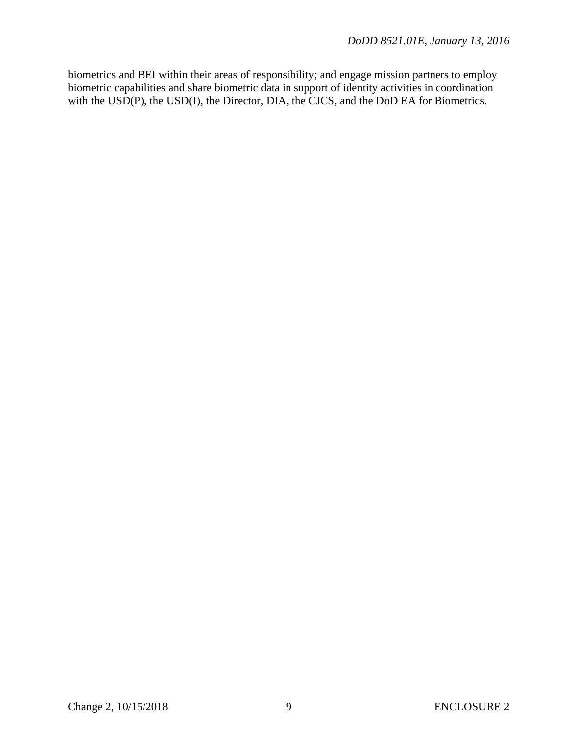biometrics and BEI within their areas of responsibility; and engage mission partners to employ biometric capabilities and share biometric data in support of identity activities in coordination with the USD(P), the USD(I), the Director, DIA, the CJCS, and the DoD EA for Biometrics.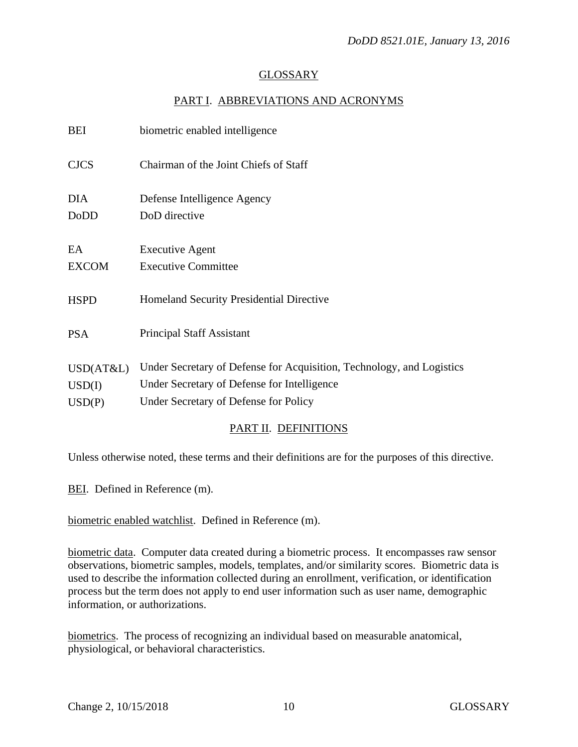## GLOSSARY

# PART I. ABBREVIATIONS AND ACRONYMS

| BEI                           | biometric enabled intelligence                                                                                                                                       |
|-------------------------------|----------------------------------------------------------------------------------------------------------------------------------------------------------------------|
| <b>CJCS</b>                   | Chairman of the Joint Chiefs of Staff                                                                                                                                |
| <b>DIA</b><br>DoDD            | Defense Intelligence Agency<br>DoD directive                                                                                                                         |
| EA<br><b>EXCOM</b>            | <b>Executive Agent</b><br><b>Executive Committee</b>                                                                                                                 |
| <b>HSPD</b>                   | Homeland Security Presidential Directive                                                                                                                             |
| <b>PSA</b>                    | <b>Principal Staff Assistant</b>                                                                                                                                     |
| USD(AT&L)<br>USD(I)<br>USD(P) | Under Secretary of Defense for Acquisition, Technology, and Logistics<br>Under Secretary of Defense for Intelligence<br><b>Under Secretary of Defense for Policy</b> |

## PART II. DEFINITIONS

Unless otherwise noted, these terms and their definitions are for the purposes of this directive.

BEI. Defined in Reference (m).

biometric enabled watchlist. Defined in Reference (m).

biometric data. Computer data created during a biometric process. It encompasses raw sensor observations, biometric samples, models, templates, and/or similarity scores. Biometric data is used to describe the information collected during an enrollment, verification, or identification process but the term does not apply to end user information such as user name, demographic information, or authorizations.

biometrics. The process of recognizing an individual based on measurable anatomical, physiological, or behavioral characteristics.